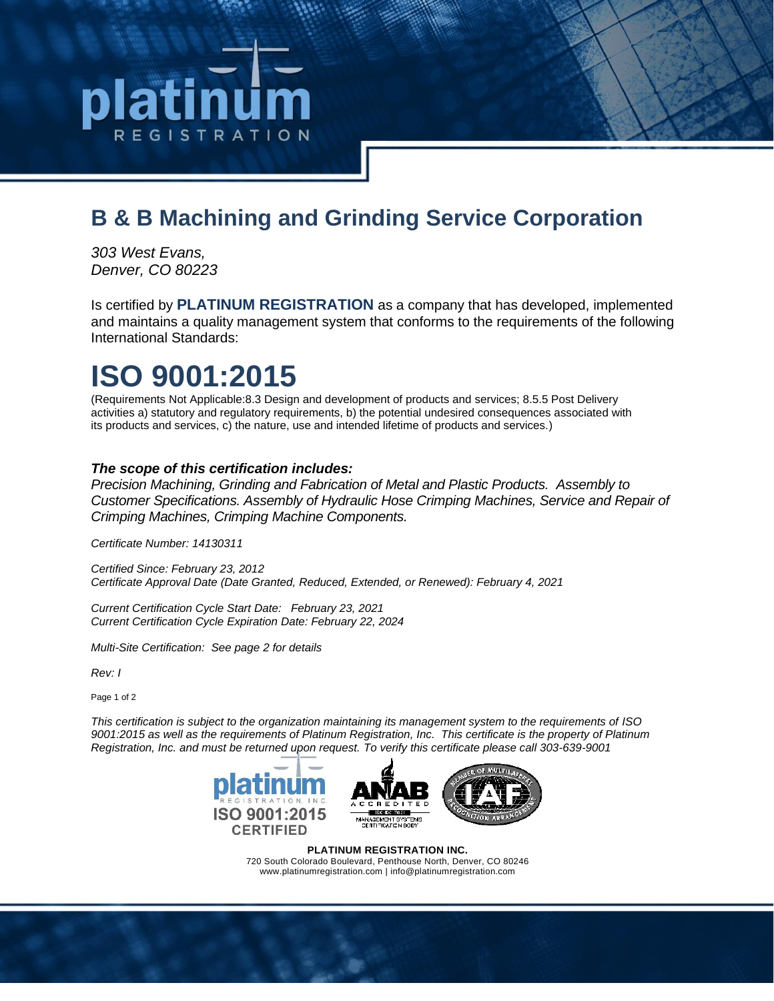# R E G I S T R A T I O N

### **B & B Machining and Grinding Service Corporation**

*303 West Evans, Denver, CO 80223*

Is certified by **PLATINUM REGISTRATION** as a company that has developed, implemented and maintains a quality management system that conforms to the requirements of the following International Standards:

# **ISO 9001:2015**

(Requirements Not Applicable:8.3 Design and development of products and services; 8.5.5 Post Delivery activities a) statutory and regulatory requirements, b) the potential undesired consequences associated with its products and services, c) the nature, use and intended lifetime of products and services.)

#### *The scope of this certification includes:*

*Precision Machining, Grinding and Fabrication of Metal and Plastic Products. Assembly to Customer Specifications. Assembly of Hydraulic Hose Crimping Machines, Service and Repair of Crimping Machines, Crimping Machine Components.*

*Certificate Number: 14130311*

*Certified Since: February 23, 2012 Certificate Approval Date (Date Granted, Reduced, Extended, or Renewed): February 4, 2021*

*Current Certification Cycle Start Date: February 23, 2021 Current Certification Cycle Expiration Date: February 22, 2024*

*Multi-Site Certification: See page 2 for details*

*Rev: I*

Page 1 of 2

*This certification is subject to the organization maintaining its management system to the requirements of ISO 9001:2015 as well as the requirements of Platinum Registration, Inc. This certificate is the property of Platinum Registration, Inc. and must be returned upon request. To verify this certificate please call 303-639-9001*



**PLATINUM REGISTRATION INC.** 720 South Colorado Boulevard, Penthouse North, Denver, CO 80246 www.platinumregistration.com | info@platinumregistration.com